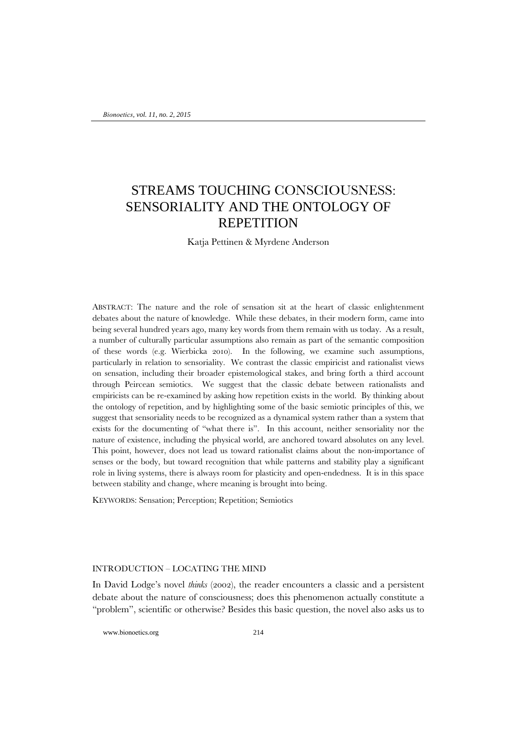# STREAMS TOUCHING CONSCIOUSNESS: SENSORIALITY AND THE ONTOLOGY OF **REPETITION**

Katja Pettinen & Myrdene Anderson

ABSTRACT: The nature and the role of sensation sit at the heart of classic enlightenment debates about the nature of knowledge. While these debates, in their modern form, came into being several hundred years ago, many key words from them remain with us today. As a result, a number of culturally particular assumptions also remain as part of the semantic composition of these words (e.g. Wierbicka 2010). In the following, we examine such assumptions, particularly in relation to sensoriality. We contrast the classic empiricist and rationalist views on sensation, including their broader epistemological stakes, and bring forth a third account through Peircean semiotics. We suggest that the classic debate between rationalists and empiricists can be re-examined by asking how repetition exists in the world. By thinking about the ontology of repetition, and by highlighting some of the basic semiotic principles of this, we suggest that sensoriality needs to be recognized as a dynamical system rather than a system that exists for the documenting of "what there is". In this account, neither sensoriality nor the nature of existence, including the physical world, are anchored toward absolutes on any level. This point, however, does not lead us toward rationalist claims about the non-importance of senses or the body, but toward recognition that while patterns and stability play a significant role in living systems, there is always room for plasticity and open-endedness. It is in this space between stability and change, where meaning is brought into being.

KEYWORDS: Sensation; Perception; Repetition; Semiotics

## INTRODUCTION – LOCATING THE MIND

In David Lodge's novel *thinks* (2002), the reader encounters a classic and a persistent debate about the nature of consciousness; does this phenomenon actually constitute a "problem", scientific or otherwise? Besides this basic question, the novel also asks us to

www.bionoetics.org 214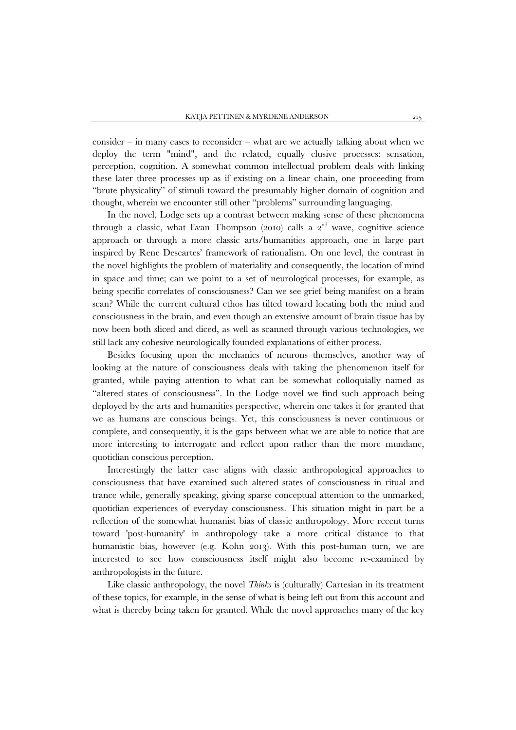consider – in many cases to reconsider – what are we actually talking about when we deploy the term "mind", and the related, equally elusive processes: sensation, perception, cognition. A somewhat common intellectual problem deals with linking these later three processes up as if existing on a linear chain, one proceeding from "brute physicality" of stimuli toward the presumably higher domain of cognition and thought, wherein we encounter still other "problems" surrounding languaging.

In the novel, Lodge sets up a contrast between making sense of these phenomena through a classic, what Evan Thompson (2010) calls a  $2<sup>nd</sup>$  wave, cognitive science approach or through a more classic arts/humanities approach, one in large part inspired by Rene Descartes' framework of rationalism. On one level, the contrast in the novel highlights the problem of materiality and consequently, the location of mind in space and time; can we point to a set of neurological processes, for example, as being specific correlates of consciousness? Can we see grief being manifest on a brain scan? While the current cultural ethos has tilted toward locating both the mind and consciousness in the brain, and even though an extensive amount of brain tissue has by now been both sliced and diced, as well as scanned through various technologies, we still lack any cohesive neurologically founded explanations of either process.

Besides focusing upon the mechanics of neurons themselves, another way of looking at the nature of consciousness deals with taking the phenomenon itself for granted, while paying attention to what can be somewhat colloquially named as "altered states of consciousness". In the Lodge novel we find such approach being deployed by the arts and humanities perspective, wherein one takes it for granted that we as humans are conscious beings. Yet, this consciousness is never continuous or complete, and consequently, it is the gaps between what we are able to notice that are more interesting to interrogate and reflect upon rather than the more mundane, quotidian conscious perception.

Interestingly the latter case aligns with classic anthropological approaches to consciousness that have examined such altered states of consciousness in ritual and trance while, generally speaking, giving sparse conceptual attention to the unmarked, quotidian experiences of everyday consciousness. This situation might in part be a reflection of the somewhat humanist bias of classic anthropology. More recent turns toward 'post-humanity' in anthropology take a more critical distance to that humanistic bias, however (e.g. Kohn 2013). With this post-human turn, we are interested to see how consciousness itself might also become re-examined by anthropologists in the future.

Like classic anthropology, the novel *Thinks* is (culturally) Cartesian in its treatment of these topics, for example, in the sense of what is being left out from this account and what is thereby being taken for granted. While the novel approaches many of the key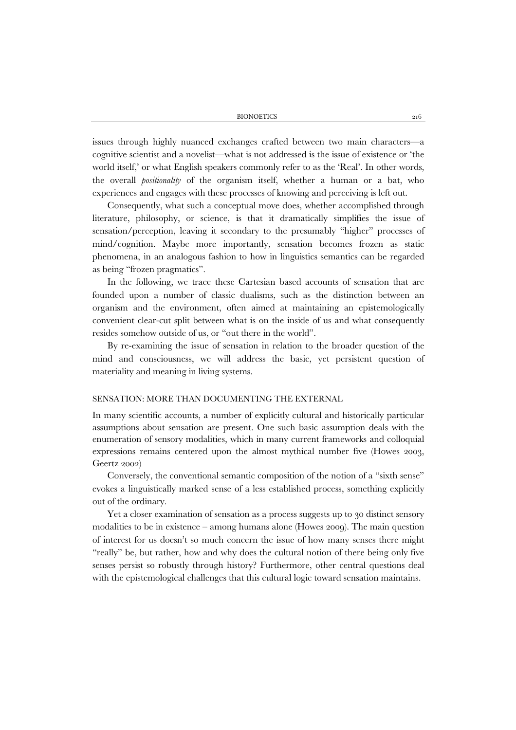BIONOETICS 216

issues through highly nuanced exchanges crafted between two main characters—a cognitive scientist and a novelist—what is not addressed is the issue of existence or 'the world itself,' or what English speakers commonly refer to as the 'Real'. In other words, the overall *positionality* of the organism itself, whether a human or a bat, who experiences and engages with these processes of knowing and perceiving is left out.

Consequently, what such a conceptual move does, whether accomplished through literature, philosophy, or science, is that it dramatically simplifies the issue of sensation/perception, leaving it secondary to the presumably "higher" processes of mind/cognition. Maybe more importantly, sensation becomes frozen as static phenomena, in an analogous fashion to how in linguistics semantics can be regarded as being "frozen pragmatics".

In the following, we trace these Cartesian based accounts of sensation that are founded upon a number of classic dualisms, such as the distinction between an organism and the environment, often aimed at maintaining an epistemologically convenient clear-cut split between what is on the inside of us and what consequently resides somehow outside of us, or "out there in the world".

By re-examining the issue of sensation in relation to the broader question of the mind and consciousness, we will address the basic, yet persistent question of materiality and meaning in living systems.

# SENSATION: MORE THAN DOCUMENTING THE EXTERNAL

In many scientific accounts, a number of explicitly cultural and historically particular assumptions about sensation are present. One such basic assumption deals with the enumeration of sensory modalities, which in many current frameworks and colloquial expressions remains centered upon the almost mythical number five (Howes 2003, Geertz 2002)

Conversely, the conventional semantic composition of the notion of a "sixth sense" evokes a linguistically marked sense of a less established process, something explicitly out of the ordinary.

Yet a closer examination of sensation as a process suggests up to 30 distinct sensory modalities to be in existence – among humans alone (Howes 2009). The main question of interest for us doesn't so much concern the issue of how many senses there might "really" be, but rather, how and why does the cultural notion of there being only five senses persist so robustly through history? Furthermore, other central questions deal with the epistemological challenges that this cultural logic toward sensation maintains.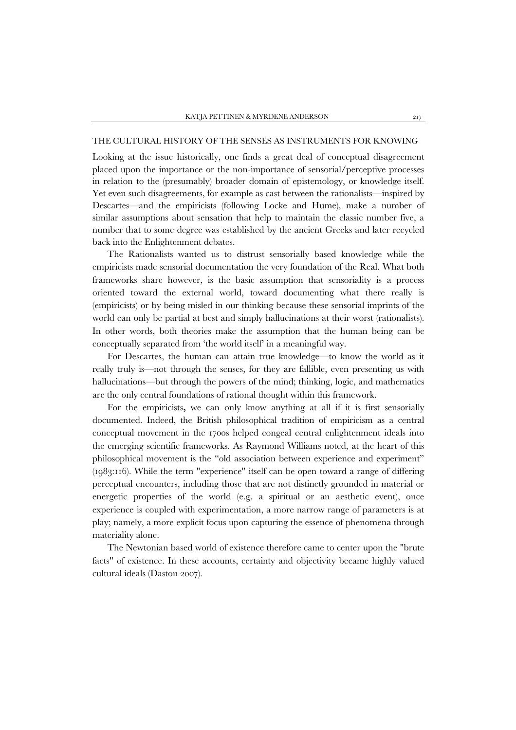# THE CULTURAL HISTORY OF THE SENSES AS INSTRUMENTS FOR KNOWING

Looking at the issue historically, one finds a great deal of conceptual disagreement placed upon the importance or the non-importance of sensorial/perceptive processes in relation to the (presumably) broader domain of epistemology, or knowledge itself. Yet even such disagreements, for example as cast between the rationalists—inspired by Descartes—and the empiricists (following Locke and Hume), make a number of similar assumptions about sensation that help to maintain the classic number five, a number that to some degree was established by the ancient Greeks and later recycled back into the Enlightenment debates.

The Rationalists wanted us to distrust sensorially based knowledge while the empiricists made sensorial documentation the very foundation of the Real. What both frameworks share however, is the basic assumption that sensoriality is a process oriented toward the external world, toward documenting what there really is (empiricists) or by being misled in our thinking because these sensorial imprints of the world can only be partial at best and simply hallucinations at their worst (rationalists). In other words, both theories make the assumption that the human being can be conceptually separated from 'the world itself' in a meaningful way.

For Descartes, the human can attain true knowledge—to know the world as it really truly is—not through the senses, for they are fallible, even presenting us with hallucinations—but through the powers of the mind; thinking, logic, and mathematics are the only central foundations of rational thought within this framework.

For the empiricists**,** we can only know anything at all if it is first sensorially documented. Indeed, the British philosophical tradition of empiricism as a central conceptual movement in the 1700s helped congeal central enlightenment ideals into the emerging scientific frameworks. As Raymond Williams noted, at the heart of this philosophical movement is the "old association between experience and experiment" (1983:116). While the term "experience" itself can be open toward a range of differing perceptual encounters, including those that are not distinctly grounded in material or energetic properties of the world (e.g. a spiritual or an aesthetic event), once experience is coupled with experimentation, a more narrow range of parameters is at play; namely, a more explicit focus upon capturing the essence of phenomena through materiality alone.

The Newtonian based world of existence therefore came to center upon the "brute facts" of existence. In these accounts, certainty and objectivity became highly valued cultural ideals (Daston 2007).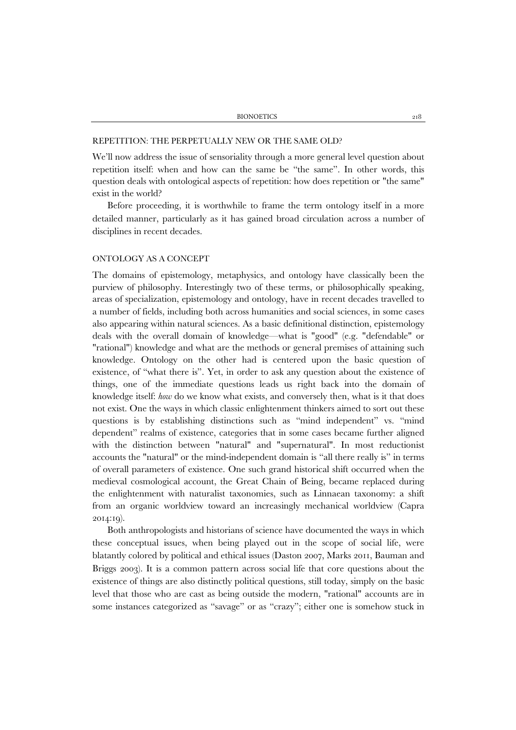#### REPETITION: THE PERPETUALLY NEW OR THE SAME OLD?

We'll now address the issue of sensoriality through a more general level question about repetition itself: when and how can the same be "the same". In other words, this question deals with ontological aspects of repetition: how does repetition or "the same" exist in the world?

Before proceeding, it is worthwhile to frame the term ontology itself in a more detailed manner, particularly as it has gained broad circulation across a number of disciplines in recent decades.

#### ONTOLOGY AS A CONCEPT

The domains of epistemology, metaphysics, and ontology have classically been the purview of philosophy. Interestingly two of these terms, or philosophically speaking, areas of specialization, epistemology and ontology, have in recent decades travelled to a number of fields, including both across humanities and social sciences, in some cases also appearing within natural sciences. As a basic definitional distinction, epistemology deals with the overall domain of knowledge—what is "good" (e.g. "defendable" or "rational") knowledge and what are the methods or general premises of attaining such knowledge. Ontology on the other had is centered upon the basic question of existence, of "what there is". Yet, in order to ask any question about the existence of things, one of the immediate questions leads us right back into the domain of knowledge itself: *how* do we know what exists, and conversely then, what is it that does not exist. One the ways in which classic enlightenment thinkers aimed to sort out these questions is by establishing distinctions such as "mind independent" vs. "mind dependent" realms of existence, categories that in some cases became further aligned with the distinction between "natural" and "supernatural". In most reductionist accounts the "natural" or the mind-independent domain is "all there really is" in terms of overall parameters of existence. One such grand historical shift occurred when the medieval cosmological account, the Great Chain of Being, became replaced during the enlightenment with naturalist taxonomies, such as Linnaean taxonomy: a shift from an organic worldview toward an increasingly mechanical worldview (Capra 2014:19).

Both anthropologists and historians of science have documented the ways in which these conceptual issues, when being played out in the scope of social life, were blatantly colored by political and ethical issues (Daston 2007, Marks 2011, Bauman and Briggs 2003). It is a common pattern across social life that core questions about the existence of things are also distinctly political questions, still today, simply on the basic level that those who are cast as being outside the modern, "rational" accounts are in some instances categorized as "savage" or as "crazy"; either one is somehow stuck in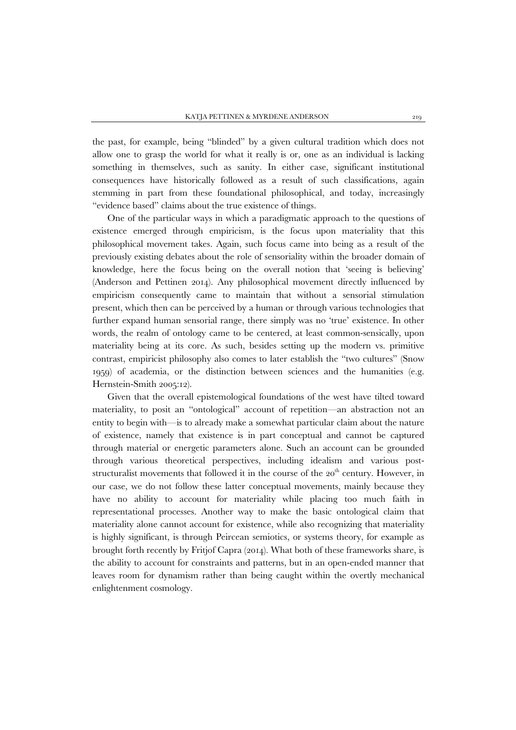the past, for example, being "blinded" by a given cultural tradition which does not allow one to grasp the world for what it really is or, one as an individual is lacking something in themselves, such as sanity. In either case, significant institutional consequences have historically followed as a result of such classifications, again stemming in part from these foundational philosophical, and today, increasingly "evidence based" claims about the true existence of things.

One of the particular ways in which a paradigmatic approach to the questions of existence emerged through empiricism, is the focus upon materiality that this philosophical movement takes. Again, such focus came into being as a result of the previously existing debates about the role of sensoriality within the broader domain of knowledge, here the focus being on the overall notion that 'seeing is believing' (Anderson and Pettinen 2014). Any philosophical movement directly influenced by empiricism consequently came to maintain that without a sensorial stimulation present, which then can be perceived by a human or through various technologies that further expand human sensorial range, there simply was no 'true' existence. In other words, the realm of ontology came to be centered, at least common-sensically, upon materiality being at its core. As such, besides setting up the modern vs. primitive contrast, empiricist philosophy also comes to later establish the "two cultures" (Snow 1959) of academia, or the distinction between sciences and the humanities (e.g. Hernstein-Smith 2005:12).

Given that the overall epistemological foundations of the west have tilted toward materiality, to posit an "ontological" account of repetition—an abstraction not an entity to begin with—is to already make a somewhat particular claim about the nature of existence, namely that existence is in part conceptual and cannot be captured through material or energetic parameters alone. Such an account can be grounded through various theoretical perspectives, including idealism and various poststructuralist movements that followed it in the course of the  $20<sup>th</sup>$  century. However, in our case, we do not follow these latter conceptual movements, mainly because they have no ability to account for materiality while placing too much faith in representational processes. Another way to make the basic ontological claim that materiality alone cannot account for existence, while also recognizing that materiality is highly significant, is through Peircean semiotics, or systems theory, for example as brought forth recently by Fritjof Capra (2014). What both of these frameworks share, is the ability to account for constraints and patterns, but in an open-ended manner that leaves room for dynamism rather than being caught within the overtly mechanical enlightenment cosmology.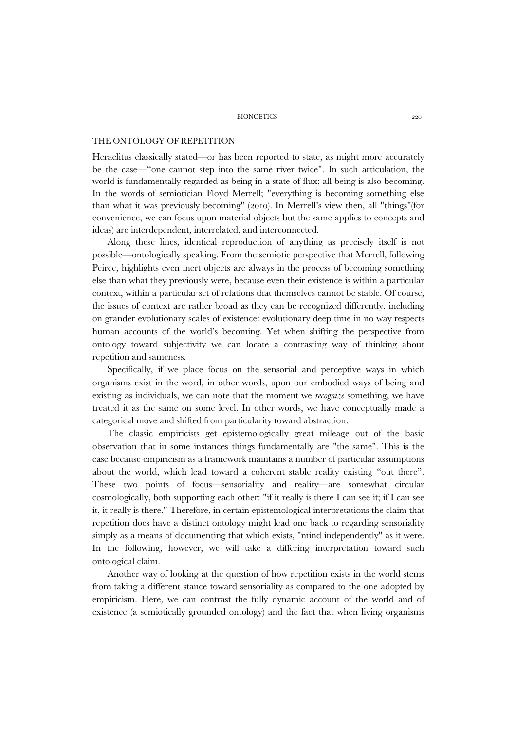#### THE ONTOLOGY OF REPETITION

Heraclitus classically stated—or has been reported to state, as might more accurately be the case—"one cannot step into the same river twice". In such articulation, the world is fundamentally regarded as being in a state of flux; all being is also becoming. In the words of semiotician Floyd Merrell; "everything is becoming something else than what it was previously becoming" (2010). In Merrell's view then, all "things"(for convenience, we can focus upon material objects but the same applies to concepts and ideas) are interdependent, interrelated, and interconnected.

Along these lines, identical reproduction of anything as precisely itself is not possible—ontologically speaking. From the semiotic perspective that Merrell, following Peirce, highlights even inert objects are always in the process of becoming something else than what they previously were, because even their existence is within a particular context, within a particular set of relations that themselves cannot be stable. Of course, the issues of context are rather broad as they can be recognized differently, including on grander evolutionary scales of existence: evolutionary deep time in no way respects human accounts of the world's becoming. Yet when shifting the perspective from ontology toward subjectivity we can locate a contrasting way of thinking about repetition and sameness.

Specifically, if we place focus on the sensorial and perceptive ways in which organisms exist in the word, in other words, upon our embodied ways of being and existing as individuals, we can note that the moment we *recognize* something, we have treated it as the same on some level. In other words, we have conceptually made a categorical move and shifted from particularity toward abstraction.

The classic empiricists get epistemologically great mileage out of the basic observation that in some instances things fundamentally are "the same". This is the case because empiricism as a framework maintains a number of particular assumptions about the world, which lead toward a coherent stable reality existing "out there". These two points of focus—sensoriality and reality—are somewhat circular cosmologically, both supporting each other: "if it really is there I can see it; if I can see it, it really is there." Therefore, in certain epistemological interpretations the claim that repetition does have a distinct ontology might lead one back to regarding sensoriality simply as a means of documenting that which exists, "mind independently" as it were. In the following, however, we will take a differing interpretation toward such ontological claim.

Another way of looking at the question of how repetition exists in the world stems from taking a different stance toward sensoriality as compared to the one adopted by empiricism. Here, we can contrast the fully dynamic account of the world and of existence (a semiotically grounded ontology) and the fact that when living organisms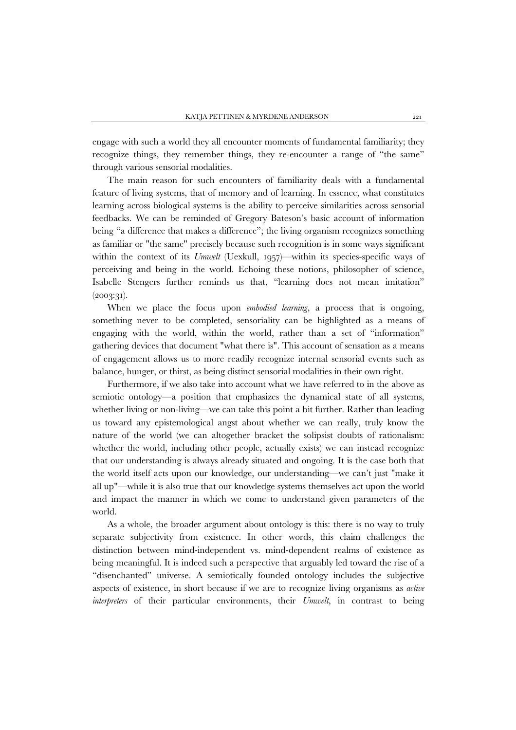engage with such a world they all encounter moments of fundamental familiarity; they recognize things, they remember things, they re-encounter a range of "the same" through various sensorial modalities.

The main reason for such encounters of familiarity deals with a fundamental feature of living systems, that of memory and of learning. In essence, what constitutes learning across biological systems is the ability to perceive similarities across sensorial feedbacks. We can be reminded of Gregory Bateson's basic account of information being "a difference that makes a difference"; the living organism recognizes something as familiar or "the same" precisely because such recognition is in some ways significant within the context of its *Umwelt* (Uexkull, 1957)—within its species-specific ways of perceiving and being in the world. Echoing these notions, philosopher of science, Isabelle Stengers further reminds us that, "learning does not mean imitation"  $(2003:31).$ 

When we place the focus upon *embodied learning*, a process that is ongoing, something never to be completed, sensoriality can be highlighted as a means of engaging with the world, within the world, rather than a set of "information" gathering devices that document "what there is". This account of sensation as a means of engagement allows us to more readily recognize internal sensorial events such as balance, hunger, or thirst, as being distinct sensorial modalities in their own right.

Furthermore, if we also take into account what we have referred to in the above as semiotic ontology—a position that emphasizes the dynamical state of all systems, whether living or non-living—we can take this point a bit further. Rather than leading us toward any epistemological angst about whether we can really, truly know the nature of the world (we can altogether bracket the solipsist doubts of rationalism: whether the world, including other people, actually exists) we can instead recognize that our understanding is always already situated and ongoing. It is the case both that the world itself acts upon our knowledge, our understanding—we can't just "make it all up"—while it is also true that our knowledge systems themselves act upon the world and impact the manner in which we come to understand given parameters of the world.

As a whole, the broader argument about ontology is this: there is no way to truly separate subjectivity from existence. In other words, this claim challenges the distinction between mind-independent vs. mind-dependent realms of existence as being meaningful. It is indeed such a perspective that arguably led toward the rise of a "disenchanted" universe. A semiotically founded ontology includes the subjective aspects of existence, in short because if we are to recognize living organisms as *active interpreters* of their particular environments, their *Umwelt*, in contrast to being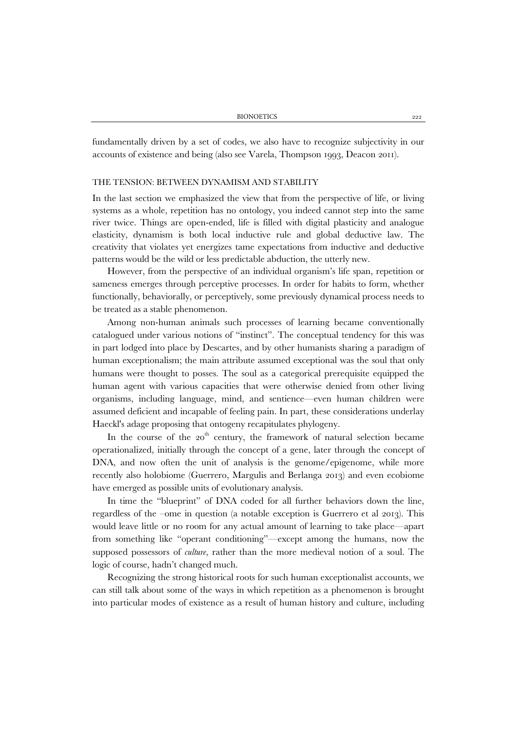fundamentally driven by a set of codes, we also have to recognize subjectivity in our accounts of existence and being (also see Varela, Thompson 1993, Deacon 2011).

#### THE TENSION: BETWEEN DYNAMISM AND STABILITY

In the last section we emphasized the view that from the perspective of life, or living systems as a whole, repetition has no ontology, you indeed cannot step into the same river twice. Things are open-ended, life is filled with digital plasticity and analogue elasticity, dynamism is both local inductive rule and global deductive law. The creativity that violates yet energizes tame expectations from inductive and deductive patterns would be the wild or less predictable abduction, the utterly new.

However, from the perspective of an individual organism's life span, repetition or sameness emerges through perceptive processes. In order for habits to form, whether functionally, behaviorally, or perceptively, some previously dynamical process needs to be treated as a stable phenomenon.

Among non-human animals such processes of learning became conventionally catalogued under various notions of "instinct". The conceptual tendency for this was in part lodged into place by Descartes, and by other humanists sharing a paradigm of human exceptionalism; the main attribute assumed exceptional was the soul that only humans were thought to posses. The soul as a categorical prerequisite equipped the human agent with various capacities that were otherwise denied from other living organisms, including language, mind, and sentience—even human children were assumed deficient and incapable of feeling pain. In part, these considerations underlay Haeckl's adage proposing that ontogeny recapitulates phylogeny.

In the course of the  $20<sup>th</sup>$  century, the framework of natural selection became operationalized, initially through the concept of a gene, later through the concept of DNA, and now often the unit of analysis is the genome/epigenome, while more recently also holobiome (Guerrero, Margulis and Berlanga 2013) and even ecobiome have emerged as possible units of evolutionary analysis.

In time the "blueprint" of DNA coded for all further behaviors down the line, regardless of the –ome in question (a notable exception is Guerrero et al 2013). This would leave little or no room for any actual amount of learning to take place—apart from something like "operant conditioning"—except among the humans, now the supposed possessors of *culture*, rather than the more medieval notion of a soul. The logic of course, hadn't changed much.

Recognizing the strong historical roots for such human exceptionalist accounts, we can still talk about some of the ways in which repetition as a phenomenon is brought into particular modes of existence as a result of human history and culture, including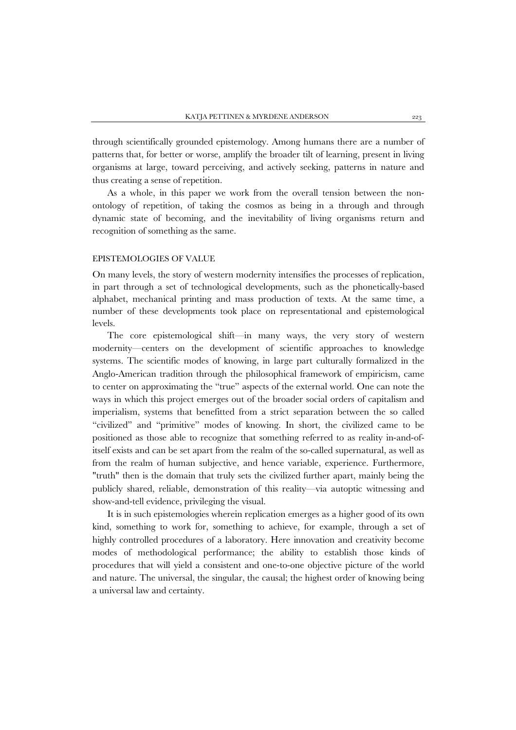through scientifically grounded epistemology. Among humans there are a number of patterns that, for better or worse, amplify the broader tilt of learning, present in living organisms at large, toward perceiving, and actively seeking, patterns in nature and thus creating a sense of repetition.

As a whole, in this paper we work from the overall tension between the nonontology of repetition, of taking the cosmos as being in a through and through dynamic state of becoming, and the inevitability of living organisms return and recognition of something as the same.

### EPISTEMOLOGIES OF VALUE

On many levels, the story of western modernity intensifies the processes of replication, in part through a set of technological developments, such as the phonetically-based alphabet, mechanical printing and mass production of texts. At the same time, a number of these developments took place on representational and epistemological levels.

The core epistemological shift—in many ways, the very story of western modernity—centers on the development of scientific approaches to knowledge systems. The scientific modes of knowing, in large part culturally formalized in the Anglo-American tradition through the philosophical framework of empiricism, came to center on approximating the "true" aspects of the external world. One can note the ways in which this project emerges out of the broader social orders of capitalism and imperialism, systems that benefitted from a strict separation between the so called "civilized" and "primitive" modes of knowing. In short, the civilized came to be positioned as those able to recognize that something referred to as reality in-and-ofitself exists and can be set apart from the realm of the so-called supernatural, as well as from the realm of human subjective, and hence variable, experience. Furthermore, "truth" then is the domain that truly sets the civilized further apart, mainly being the publicly shared, reliable, demonstration of this reality—via autoptic witnessing and show-and-tell evidence, privileging the visual.

It is in such epistemologies wherein replication emerges as a higher good of its own kind, something to work for, something to achieve, for example, through a set of highly controlled procedures of a laboratory. Here innovation and creativity become modes of methodological performance; the ability to establish those kinds of procedures that will yield a consistent and one-to-one objective picture of the world and nature. The universal, the singular, the causal; the highest order of knowing being a universal law and certainty.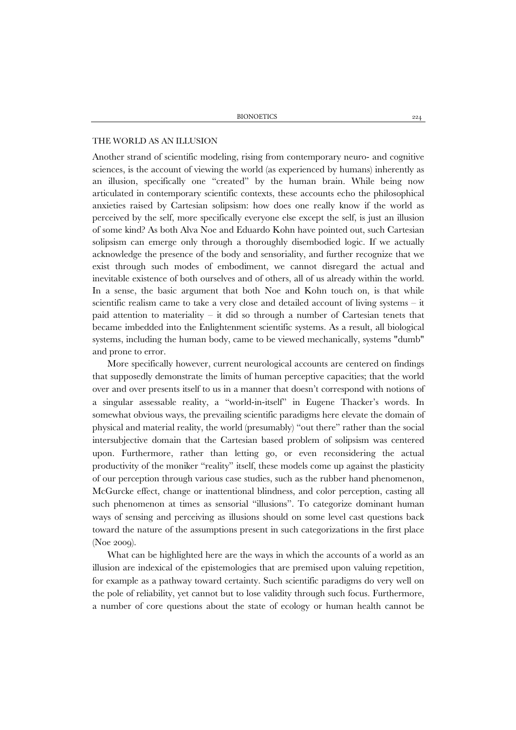#### THE WORLD AS AN ILLUSION

Another strand of scientific modeling, rising from contemporary neuro- and cognitive sciences, is the account of viewing the world (as experienced by humans) inherently as an illusion, specifically one "created" by the human brain. While being now articulated in contemporary scientific contexts, these accounts echo the philosophical anxieties raised by Cartesian solipsism: how does one really know if the world as perceived by the self, more specifically everyone else except the self, is just an illusion of some kind? As both Alva Noe and Eduardo Kohn have pointed out, such Cartesian solipsism can emerge only through a thoroughly disembodied logic. If we actually acknowledge the presence of the body and sensoriality, and further recognize that we exist through such modes of embodiment, we cannot disregard the actual and inevitable existence of both ourselves and of others, all of us already within the world. In a sense, the basic argument that both Noe and Kohn touch on, is that while scientific realism came to take a very close and detailed account of living systems – it paid attention to materiality – it did so through a number of Cartesian tenets that became imbedded into the Enlightenment scientific systems. As a result, all biological systems, including the human body, came to be viewed mechanically, systems "dumb" and prone to error.

More specifically however, current neurological accounts are centered on findings that supposedly demonstrate the limits of human perceptive capacities; that the world over and over presents itself to us in a manner that doesn't correspond with notions of a singular assessable reality, a "world-in-itself" in Eugene Thacker's words. In somewhat obvious ways, the prevailing scientific paradigms here elevate the domain of physical and material reality, the world (presumably) "out there" rather than the social intersubjective domain that the Cartesian based problem of solipsism was centered upon. Furthermore, rather than letting go, or even reconsidering the actual productivity of the moniker "reality" itself, these models come up against the plasticity of our perception through various case studies, such as the rubber hand phenomenon, McGurcke effect, change or inattentional blindness, and color perception, casting all such phenomenon at times as sensorial "illusions". To categorize dominant human ways of sensing and perceiving as illusions should on some level cast questions back toward the nature of the assumptions present in such categorizations in the first place (Noe 2009).

What can be highlighted here are the ways in which the accounts of a world as an illusion are indexical of the epistemologies that are premised upon valuing repetition, for example as a pathway toward certainty. Such scientific paradigms do very well on the pole of reliability, yet cannot but to lose validity through such focus. Furthermore, a number of core questions about the state of ecology or human health cannot be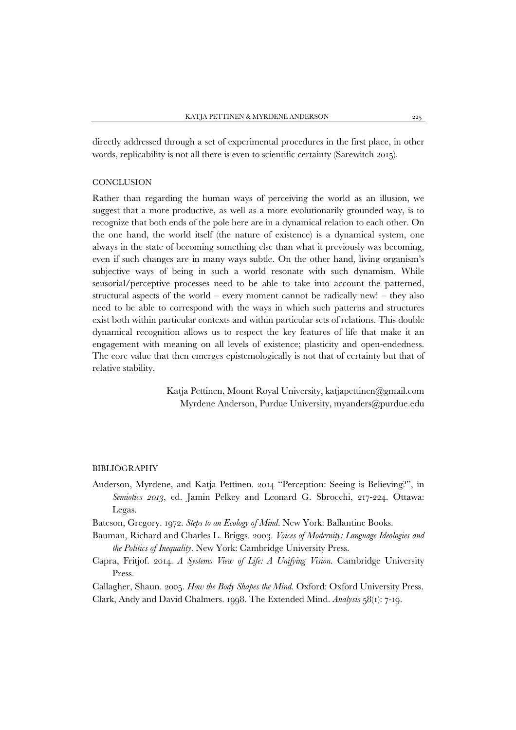directly addressed through a set of experimental procedures in the first place, in other words, replicability is not all there is even to scientific certainty (Sarewitch 2015).

## **CONCLUSION**

Rather than regarding the human ways of perceiving the world as an illusion, we suggest that a more productive, as well as a more evolutionarily grounded way, is to recognize that both ends of the pole here are in a dynamical relation to each other. On the one hand, the world itself (the nature of existence) is a dynamical system, one always in the state of becoming something else than what it previously was becoming, even if such changes are in many ways subtle. On the other hand, living organism's subjective ways of being in such a world resonate with such dynamism. While sensorial/perceptive processes need to be able to take into account the patterned, structural aspects of the world – every moment cannot be radically new! – they also need to be able to correspond with the ways in which such patterns and structures exist both within particular contexts and within particular sets of relations. This double dynamical recognition allows us to respect the key features of life that make it an engagement with meaning on all levels of existence; plasticity and open-endedness. The core value that then emerges epistemologically is not that of certainty but that of relative stability.

> Katja Pettinen, Mount Royal University, katjapettinen@gmail.com Myrdene Anderson, Purdue University, myanders@purdue.edu

# BIBLIOGRAPHY

Anderson, Myrdene, and Katja Pettinen. 2014 "Perception: Seeing is Believing?", in *Semiotics 2013*, ed. Jamin Pelkey and Leonard G. Sbrocchi, 217-224. Ottawa: Legas.

Bateson, Gregory. 1972. *Steps to an Ecology of Mind*. New York: Ballantine Books.

- Bauman, Richard and Charles L. Briggs. 2003. *Voices of Modernity: Language Ideologies and the Politics of Inequality*. New York: Cambridge University Press.
- Capra, Fritjof. 2014. *A Systems View of Life: A Unifying Vision*. Cambridge University Press.

Callagher, Shaun. 2005. *How the Body Shapes the Mind*. Oxford: Oxford University Press. Clark, Andy and David Chalmers. 1998. The Extended Mind. *Analysis* 58(1): 7-19.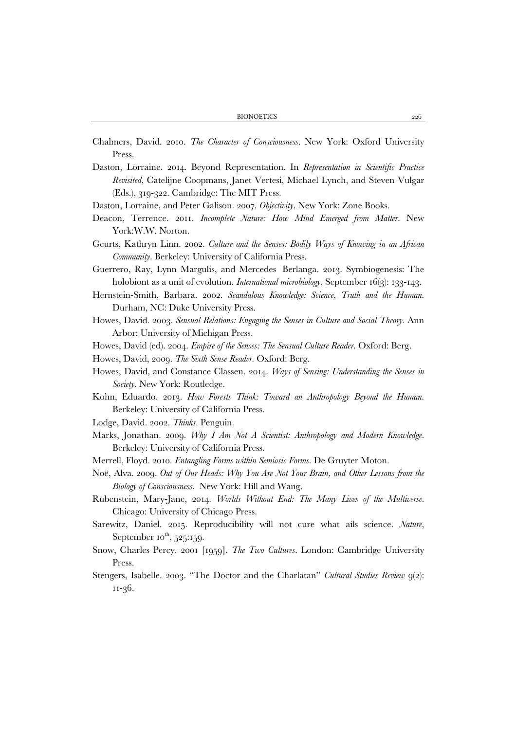BIONOETICS 226

- Chalmers, David. 2010. *The Character of Consciousness*. New York: Oxford University Press.
- Daston, Lorraine. 2014. Beyond Representation. In *Representation in Scientific Practice Revisited*, Catelijne Coopmans, Janet Vertesi, Michael Lynch, and Steven Vulgar (Eds.), 319-322. Cambridge: The MIT Press.
- Daston, Lorraine, and Peter Galison. 2007. *Objectivity*. New York: Zone Books.
- Deacon, Terrence. 2011. *Incomplete Nature: How Mind Emerged from Matter*. New York:W.W. Norton.
- Geurts, Kathryn Linn. 2002. *Culture and the Senses: Bodily Ways of Knowing in an African Community.* Berkeley: University of California Press.
- Guerrero, Ray, Lynn Margulis, and Mercedes Berlanga. 2013. Symbiogenesis: The holobiont as a unit of evolution. *International microbiology*, September 16(3): 133-143.
- Hernstein-Smith, Barbara. 2002. *Scandalous Knowledge: Science, Truth and the Human*. Durham, NC: Duke University Press.
- Howes, David. 2003. *Sensual Relations: Engaging the Senses in Culture and Social Theory*. Ann Arbor: University of Michigan Press.
- Howes, David (ed). 2004. *Empire of the Senses: The Sensual Culture Reader*. Oxford: Berg.

Howes, David, 2009. *The Sixth Sense Reader*. Oxford: Berg.

- Howes, David, and Constance Classen. 2014. *Ways of Sensing: Understanding the Senses in Society*. New York: Routledge.
- Kohn, Eduardo. 2013. *How Forests Think: Toward an Anthropology Beyond the Human.* Berkeley: University of California Press.
- Lodge, David. 2002. *Thinks*. Penguin.
- Marks, Jonathan. 2009. *Why I Am Not A Scientist: Anthropology and Modern Knowledge*. Berkeley: University of California Press.
- Merrell, Floyd. 2010. *Entangling Forms within Semiosic Forms*. De Gruyter Moton.
- Noë, Alva. 2009. *Out of Our Heads: Why You Are Not Your Brain, and Other Lessons from the Biology of Consciousness.* New York: Hill and Wang.
- Rubenstein, Mary-Jane, 2014. *Worlds Without End: The Many Lives of the Multiverse*. Chicago: University of Chicago Press.
- Sarewitz, Daniel. 2015. Reproducibility will not cure what ails science. *Nature*, September  $10^{th}$ , 525:159.
- Snow, Charles Percy. 2001 [1959]. *The Two Cultures*. London: Cambridge University Press.
- Stengers, Isabelle. 2003. "The Doctor and the Charlatan" *Cultural Studies Review* 9(2): 11-36.